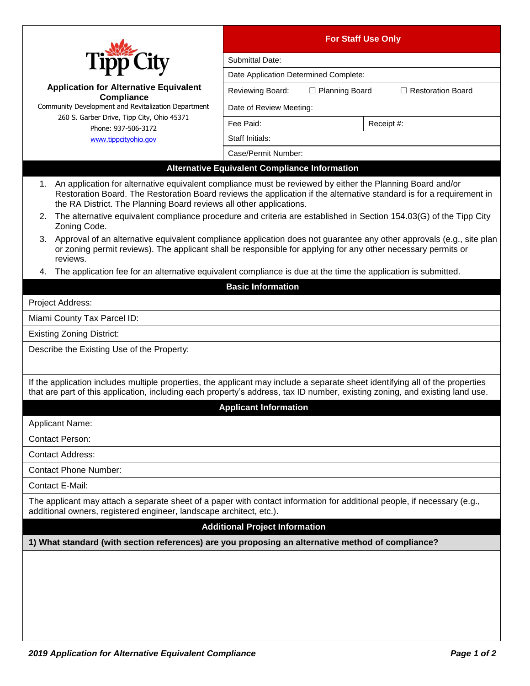|                                                                                                                                                                                                                                                                                                          | <b>For Staff Use Only</b>                            |                  |                          |  |
|----------------------------------------------------------------------------------------------------------------------------------------------------------------------------------------------------------------------------------------------------------------------------------------------------------|------------------------------------------------------|------------------|--------------------------|--|
| <b>Tipp City</b>                                                                                                                                                                                                                                                                                         | Submittal Date:                                      |                  |                          |  |
|                                                                                                                                                                                                                                                                                                          | Date Application Determined Complete:                |                  |                          |  |
| <b>Application for Alternative Equivalent</b><br><b>Compliance</b>                                                                                                                                                                                                                                       | Reviewing Board:                                     | □ Planning Board | $\Box$ Restoration Board |  |
| Community Development and Revitalization Department                                                                                                                                                                                                                                                      | Date of Review Meeting:                              |                  |                          |  |
| 260 S. Garber Drive, Tipp City, Ohio 45371<br>Phone: 937-506-3172                                                                                                                                                                                                                                        | Fee Paid:                                            | Receipt #:       |                          |  |
| www.tippcityohio.gov                                                                                                                                                                                                                                                                                     | Staff Initials:                                      |                  |                          |  |
|                                                                                                                                                                                                                                                                                                          | Case/Permit Number:                                  |                  |                          |  |
|                                                                                                                                                                                                                                                                                                          | <b>Alternative Equivalent Compliance Information</b> |                  |                          |  |
| An application for alternative equivalent compliance must be reviewed by either the Planning Board and/or<br>Restoration Board. The Restoration Board reviews the application if the alternative standard is for a requirement in<br>the RA District. The Planning Board reviews all other applications. |                                                      |                  |                          |  |
| The alternative equivalent compliance procedure and criteria are established in Section 154.03(G) of the Tipp City<br>2.<br>Zoning Code.                                                                                                                                                                 |                                                      |                  |                          |  |
| 3. Approval of an alternative equivalent compliance application does not guarantee any other approvals (e.g., site plan<br>or zoning permit reviews). The applicant shall be responsible for applying for any other necessary permits or<br>reviews.                                                     |                                                      |                  |                          |  |
| The application fee for an alternative equivalent compliance is due at the time the application is submitted.<br>4.                                                                                                                                                                                      |                                                      |                  |                          |  |
|                                                                                                                                                                                                                                                                                                          | <b>Basic Information</b>                             |                  |                          |  |
| Project Address:                                                                                                                                                                                                                                                                                         |                                                      |                  |                          |  |
| Miami County Tax Parcel ID:                                                                                                                                                                                                                                                                              |                                                      |                  |                          |  |
| <b>Existing Zoning District:</b>                                                                                                                                                                                                                                                                         |                                                      |                  |                          |  |
| Describe the Existing Use of the Property:                                                                                                                                                                                                                                                               |                                                      |                  |                          |  |
| If the application includes multiple properties, the applicant may include a separate sheet identifying all of the properties<br>that are part of this application, including each property's address, tax ID number, existing zoning, and existing land use.                                            |                                                      |                  |                          |  |
|                                                                                                                                                                                                                                                                                                          | <b>Applicant Information</b>                         |                  |                          |  |
| <b>Applicant Name:</b>                                                                                                                                                                                                                                                                                   |                                                      |                  |                          |  |
| <b>Contact Person:</b>                                                                                                                                                                                                                                                                                   |                                                      |                  |                          |  |
| <b>Contact Address:</b>                                                                                                                                                                                                                                                                                  |                                                      |                  |                          |  |
| <b>Contact Phone Number:</b>                                                                                                                                                                                                                                                                             |                                                      |                  |                          |  |
| Contact E-Mail:                                                                                                                                                                                                                                                                                          |                                                      |                  |                          |  |
| The applicant may attach a separate sheet of a paper with contact information for additional people, if necessary (e.g.,<br>additional owners, registered engineer, landscape architect, etc.).                                                                                                          |                                                      |                  |                          |  |
|                                                                                                                                                                                                                                                                                                          | <b>Additional Project Information</b>                |                  |                          |  |
| 1) What standard (with section references) are you proposing an alternative method of compliance?                                                                                                                                                                                                        |                                                      |                  |                          |  |
|                                                                                                                                                                                                                                                                                                          |                                                      |                  |                          |  |